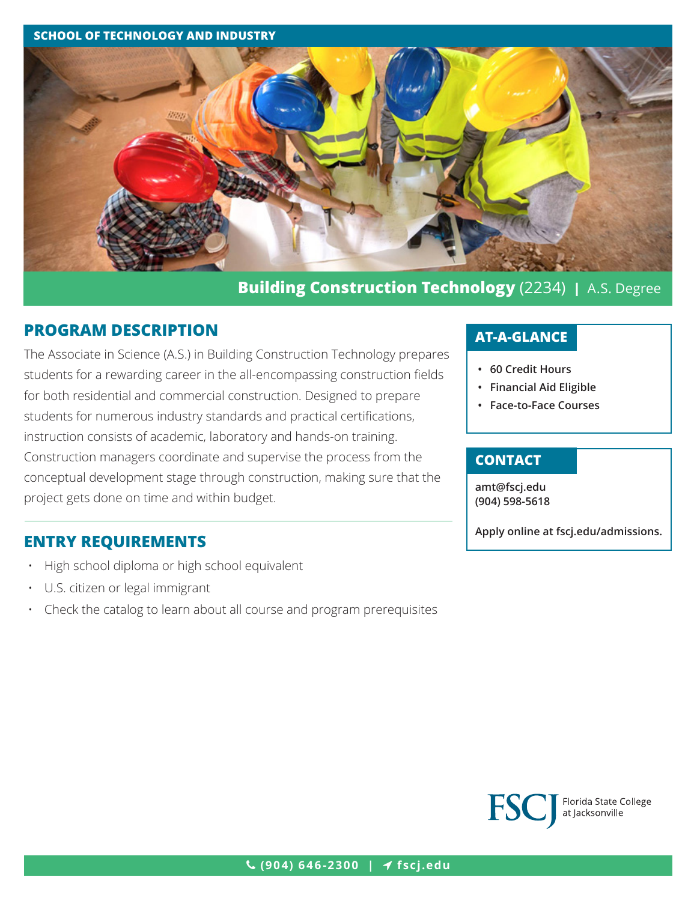#### **SCHOOL OF TECHNOLOGY AND INDUSTRY**



# **Building Construction Technology** (2234) **|** A.S. Degree

### **PROGRAM DESCRIPTION**

The Associate in Science (A.S.) in Building Construction Technology prepares students for a rewarding career in the all-encompassing construction fields for both residential and commercial construction. Designed to prepare students for numerous industry standards and practical certifications, instruction consists of academic, laboratory and hands-on training. Construction managers coordinate and supervise the process from the conceptual development stage through construction, making sure that the project gets done on time and within budget.

### **ENTRY REQUIREMENTS**

- High school diploma or high school equivalent
- U.S. citizen or legal immigrant
- Check the catalog to learn about all course and program prerequisites

## **AT-A-GLANCE**

- **• 60 Credit Hours**
- **• Financial Aid Eligible**
- **• Face-to-Face Courses**

### **CONTACT**

**amt[@fscj.edu](mailto:amt%40fscj.edu?subject=) (904) 598-5618**

**Apply online at fscj.edu/admissions.**